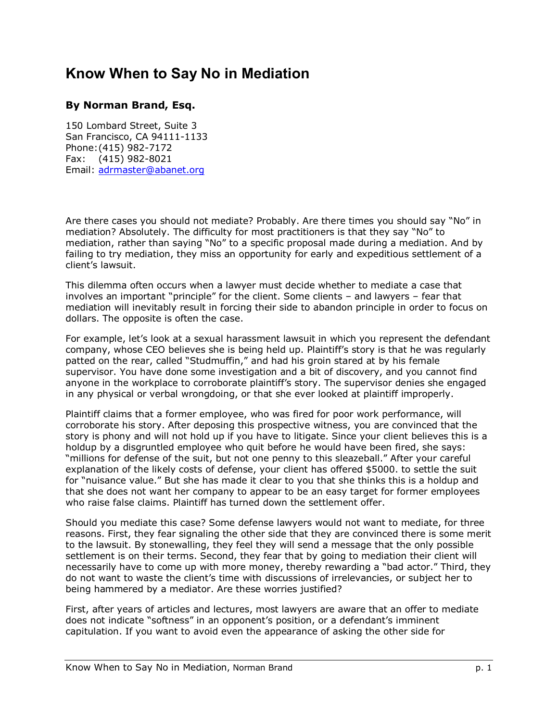## **Know When to Say No in Mediation**

## **By Norman Brand, Esq.**

150 Lombard Street, Suite 3 San Francisco, CA 94111-1133 Phone: (415) 982-7172 Fax: (415) 982-8021 Email: adrmaster@abanet.org

Are there cases you should not mediate? Probably. Are there times you should say "No" in mediation? Absolutely. The difficulty for most practitioners is that they say "No" to mediation, rather than saying "No" to a specific proposal made during a mediation. And by failing to try mediation, they miss an opportunity for early and expeditious settlement of a client's lawsuit.

This dilemma often occurs when a lawyer must decide whether to mediate a case that involves an important "principle" for the client. Some clients  $-$  and lawyers  $-$  fear that mediation will inevitably result in forcing their side to abandon principle in order to focus on dollars. The opposite is often the case.

For example, let's look at a sexual harassment lawsuit in which you represent the defendant company, whose CEO believes she is being held up. Plaintiffís story is that he was regularly patted on the rear, called "Studmuffin," and had his groin stared at by his female supervisor. You have done some investigation and a bit of discovery, and you cannot find anyone in the workplace to corroborate plaintiffís story. The supervisor denies she engaged in any physical or verbal wrongdoing, or that she ever looked at plaintiff improperly.

Plaintiff claims that a former employee, who was fired for poor work performance, will corroborate his story. After deposing this prospective witness, you are convinced that the story is phony and will not hold up if you have to litigate. Since your client believes this is a holdup by a disgruntled employee who quit before he would have been fired, she says: "millions for defense of the suit, but not one penny to this sleazeball." After your careful explanation of the likely costs of defense, your client has offered \$5000. to settle the suit for "nuisance value." But she has made it clear to you that she thinks this is a holdup and that she does not want her company to appear to be an easy target for former employees who raise false claims. Plaintiff has turned down the settlement offer.

Should you mediate this case? Some defense lawyers would not want to mediate, for three reasons. First, they fear signaling the other side that they are convinced there is some merit to the lawsuit. By stonewalling, they feel they will send a message that the only possible settlement is on their terms. Second, they fear that by going to mediation their client will necessarily have to come up with more money, thereby rewarding a "bad actor." Third, they do not want to waste the client's time with discussions of irrelevancies, or subject her to being hammered by a mediator. Are these worries justified?

First, after years of articles and lectures, most lawyers are aware that an offer to mediate does not indicate "softness" in an opponent's position, or a defendant's imminent capitulation. If you want to avoid even the appearance of asking the other side for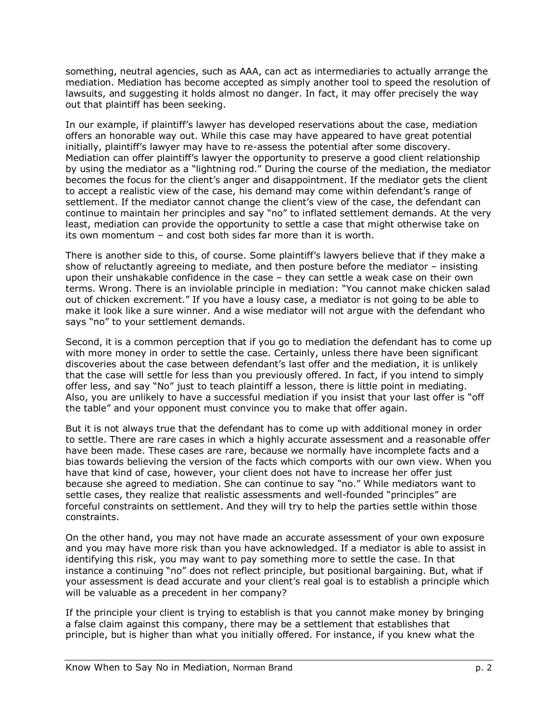something, neutral agencies, such as AAA, can act as intermediaries to actually arrange the mediation. Mediation has become accepted as simply another tool to speed the resolution of lawsuits, and suggesting it holds almost no danger. In fact, it may offer precisely the way out that plaintiff has been seeking.

In our example, if plaintiffís lawyer has developed reservations about the case, mediation offers an honorable way out. While this case may have appeared to have great potential initially, plaintiffís lawyer may have to re-assess the potential after some discovery. Mediation can offer plaintiffís lawyer the opportunity to preserve a good client relationship by using the mediator as a "lightning rod." During the course of the mediation, the mediator becomes the focus for the client's anger and disappointment. If the mediator gets the client to accept a realistic view of the case, his demand may come within defendant's range of settlement. If the mediator cannot change the client's view of the case, the defendant can continue to maintain her principles and say "no" to inflated settlement demands. At the very least, mediation can provide the opportunity to settle a case that might otherwise take on its own momentum  $-$  and cost both sides far more than it is worth.

There is another side to this, of course. Some plaintiff's lawyers believe that if they make a show of reluctantly agreeing to mediate, and then posture before the mediator  $-$  insisting upon their unshakable confidence in the case  $-$  they can settle a weak case on their own terms. Wrong. There is an inviolable principle in mediation: "You cannot make chicken salad out of chicken excrement." If you have a lousy case, a mediator is not going to be able to make it look like a sure winner. And a wise mediator will not argue with the defendant who says "no" to your settlement demands.

Second, it is a common perception that if you go to mediation the defendant has to come up with more money in order to settle the case. Certainly, unless there have been significant discoveries about the case between defendant's last offer and the mediation, it is unlikely that the case will settle for less than you previously offered. In fact, if you intend to simply offer less, and say "No" just to teach plaintiff a lesson, there is little point in mediating. Also, you are unlikely to have a successful mediation if you insist that your last offer is "off the table" and your opponent must convince you to make that offer again.

But it is not always true that the defendant has to come up with additional money in order to settle. There are rare cases in which a highly accurate assessment and a reasonable offer have been made. These cases are rare, because we normally have incomplete facts and a bias towards believing the version of the facts which comports with our own view. When you have that kind of case, however, your client does not have to increase her offer just because she agreed to mediation. She can continue to say "no." While mediators want to settle cases, they realize that realistic assessments and well-founded "principles" are forceful constraints on settlement. And they will try to help the parties settle within those constraints.

On the other hand, you may not have made an accurate assessment of your own exposure and you may have more risk than you have acknowledged. If a mediator is able to assist in identifying this risk, you may want to pay something more to settle the case. In that instance a continuing "no" does not reflect principle, but positional bargaining. But, what if your assessment is dead accurate and your clientís real goal is to establish a principle which will be valuable as a precedent in her company?

If the principle your client is trying to establish is that you cannot make money by bringing a false claim against this company, there may be a settlement that establishes that principle, but is higher than what you initially offered. For instance, if you knew what the